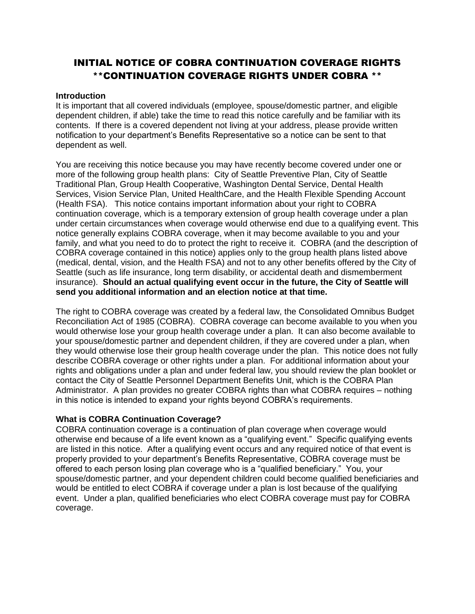# INITIAL NOTICE OF COBRA CONTINUATION COVERAGE RIGHTS \*\*CONTINUATION COVERAGE RIGHTS UNDER COBRA \*\*

#### **Introduction**

It is important that all covered individuals (employee, spouse/domestic partner, and eligible dependent children, if able) take the time to read this notice carefully and be familiar with its contents. If there is a covered dependent not living at your address, please provide written notification to your department's Benefits Representative so a notice can be sent to that dependent as well.

You are receiving this notice because you may have recently become covered under one or more of the following group health plans: City of Seattle Preventive Plan, City of Seattle Traditional Plan, Group Health Cooperative, Washington Dental Service, Dental Health Services, Vision Service Plan, United HealthCare, and the Health Flexible Spending Account (Health FSA). This notice contains important information about your right to COBRA continuation coverage, which is a temporary extension of group health coverage under a plan under certain circumstances when coverage would otherwise end due to a qualifying event. This notice generally explains COBRA coverage, when it may become available to you and your family, and what you need to do to protect the right to receive it. COBRA (and the description of COBRA coverage contained in this notice) applies only to the group health plans listed above (medical, dental, vision, and the Health FSA) and not to any other benefits offered by the City of Seattle (such as life insurance, long term disability, or accidental death and dismemberment insurance). **Should an actual qualifying event occur in the future, the City of Seattle will send you additional information and an election notice at that time.**

The right to COBRA coverage was created by a federal law, the Consolidated Omnibus Budget Reconciliation Act of 1985 (COBRA). COBRA coverage can become available to you when you would otherwise lose your group health coverage under a plan. It can also become available to your spouse/domestic partner and dependent children, if they are covered under a plan, when they would otherwise lose their group health coverage under the plan. This notice does not fully describe COBRA coverage or other rights under a plan. For additional information about your rights and obligations under a plan and under federal law, you should review the plan booklet or contact the City of Seattle Personnel Department Benefits Unit, which is the COBRA Plan Administrator. A plan provides no greater COBRA rights than what COBRA requires – nothing in this notice is intended to expand your rights beyond COBRA's requirements.

# **What is COBRA Continuation Coverage?**

COBRA continuation coverage is a continuation of plan coverage when coverage would otherwise end because of a life event known as a "qualifying event." Specific qualifying events are listed in this notice. After a qualifying event occurs and any required notice of that event is properly provided to your department's Benefits Representative, COBRA coverage must be offered to each person losing plan coverage who is a "qualified beneficiary." You, your spouse/domestic partner, and your dependent children could become qualified beneficiaries and would be entitled to elect COBRA if coverage under a plan is lost because of the qualifying event. Under a plan, qualified beneficiaries who elect COBRA coverage must pay for COBRA coverage.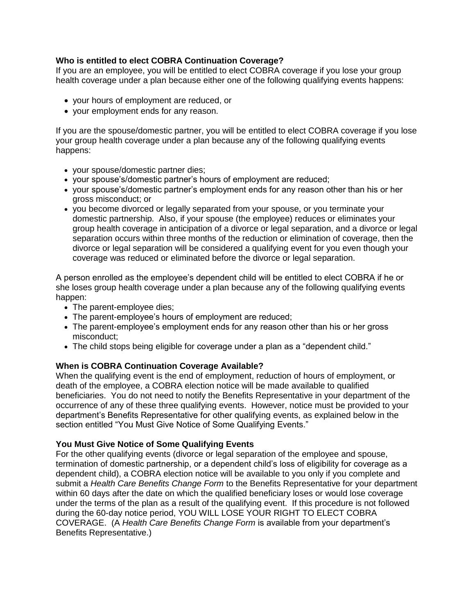# **Who is entitled to elect COBRA Continuation Coverage?**

If you are an employee, you will be entitled to elect COBRA coverage if you lose your group health coverage under a plan because either one of the following qualifying events happens:

- your hours of employment are reduced, or
- your employment ends for any reason.

If you are the spouse/domestic partner, you will be entitled to elect COBRA coverage if you lose your group health coverage under a plan because any of the following qualifying events happens:

- your spouse/domestic partner dies;
- your spouse's/domestic partner's hours of employment are reduced;
- your spouse's/domestic partner's employment ends for any reason other than his or her gross misconduct; or
- you become divorced or legally separated from your spouse, or you terminate your domestic partnership. Also, if your spouse (the employee) reduces or eliminates your group health coverage in anticipation of a divorce or legal separation, and a divorce or legal separation occurs within three months of the reduction or elimination of coverage, then the divorce or legal separation will be considered a qualifying event for you even though your coverage was reduced or eliminated before the divorce or legal separation.

A person enrolled as the employee's dependent child will be entitled to elect COBRA if he or she loses group health coverage under a plan because any of the following qualifying events happen:

- The parent-employee dies;
- The parent-employee's hours of employment are reduced;
- The parent-employee's employment ends for any reason other than his or her gross misconduct;
- The child stops being eligible for coverage under a plan as a "dependent child."

# **When is COBRA Continuation Coverage Available?**

When the qualifying event is the end of employment, reduction of hours of employment, or death of the employee, a COBRA election notice will be made available to qualified beneficiaries. You do not need to notify the Benefits Representative in your department of the occurrence of any of these three qualifying events. However, notice must be provided to your department's Benefits Representative for other qualifying events, as explained below in the section entitled "You Must Give Notice of Some Qualifying Events."

# **You Must Give Notice of Some Qualifying Events**

For the other qualifying events (divorce or legal separation of the employee and spouse, termination of domestic partnership, or a dependent child's loss of eligibility for coverage as a dependent child), a COBRA election notice will be available to you only if you complete and submit a *Health Care Benefits Change Form* to the Benefits Representative for your department within 60 days after the date on which the qualified beneficiary loses or would lose coverage under the terms of the plan as a result of the qualifying event. If this procedure is not followed during the 60-day notice period, YOU WILL LOSE YOUR RIGHT TO ELECT COBRA COVERAGE. (A *Health Care Benefits Change Form* is available from your department's Benefits Representative.)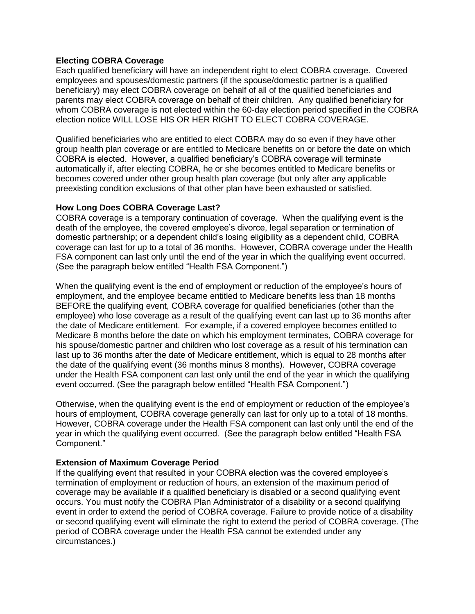# **Electing COBRA Coverage**

Each qualified beneficiary will have an independent right to elect COBRA coverage. Covered employees and spouses/domestic partners (if the spouse/domestic partner is a qualified beneficiary) may elect COBRA coverage on behalf of all of the qualified beneficiaries and parents may elect COBRA coverage on behalf of their children. Any qualified beneficiary for whom COBRA coverage is not elected within the 60-day election period specified in the COBRA election notice WILL LOSE HIS OR HER RIGHT TO ELECT COBRA COVERAGE.

Qualified beneficiaries who are entitled to elect COBRA may do so even if they have other group health plan coverage or are entitled to Medicare benefits on or before the date on which COBRA is elected. However, a qualified beneficiary's COBRA coverage will terminate automatically if, after electing COBRA, he or she becomes entitled to Medicare benefits or becomes covered under other group health plan coverage (but only after any applicable preexisting condition exclusions of that other plan have been exhausted or satisfied.

#### **How Long Does COBRA Coverage Last?**

COBRA coverage is a temporary continuation of coverage. When the qualifying event is the death of the employee, the covered employee's divorce, legal separation or termination of domestic partnership; or a dependent child's losing eligibility as a dependent child, COBRA coverage can last for up to a total of 36 months. However, COBRA coverage under the Health FSA component can last only until the end of the year in which the qualifying event occurred. (See the paragraph below entitled "Health FSA Component.")

When the qualifying event is the end of employment or reduction of the employee's hours of employment, and the employee became entitled to Medicare benefits less than 18 months BEFORE the qualifying event, COBRA coverage for qualified beneficiaries (other than the employee) who lose coverage as a result of the qualifying event can last up to 36 months after the date of Medicare entitlement. For example, if a covered employee becomes entitled to Medicare 8 months before the date on which his employment terminates, COBRA coverage for his spouse/domestic partner and children who lost coverage as a result of his termination can last up to 36 months after the date of Medicare entitlement, which is equal to 28 months after the date of the qualifying event (36 months minus 8 months). However, COBRA coverage under the Health FSA component can last only until the end of the year in which the qualifying event occurred. (See the paragraph below entitled "Health FSA Component.")

Otherwise, when the qualifying event is the end of employment or reduction of the employee's hours of employment, COBRA coverage generally can last for only up to a total of 18 months. However, COBRA coverage under the Health FSA component can last only until the end of the year in which the qualifying event occurred. (See the paragraph below entitled "Health FSA Component."

# **Extension of Maximum Coverage Period**

If the qualifying event that resulted in your COBRA election was the covered employee's termination of employment or reduction of hours, an extension of the maximum period of coverage may be available if a qualified beneficiary is disabled or a second qualifying event occurs. You must notify the COBRA Plan Administrator of a disability or a second qualifying event in order to extend the period of COBRA coverage. Failure to provide notice of a disability or second qualifying event will eliminate the right to extend the period of COBRA coverage. (The period of COBRA coverage under the Health FSA cannot be extended under any circumstances.)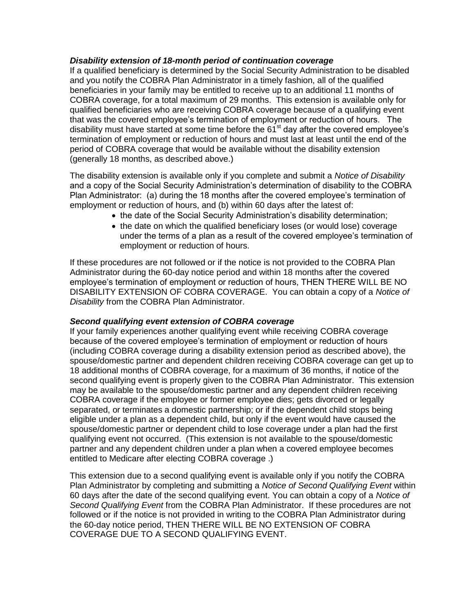# *Disability extension of 18-month period of continuation coverage*

If a qualified beneficiary is determined by the Social Security Administration to be disabled and you notify the COBRA Plan Administrator in a timely fashion, all of the qualified beneficiaries in your family may be entitled to receive up to an additional 11 months of COBRA coverage, for a total maximum of 29 months. This extension is available only for qualified beneficiaries who are receiving COBRA coverage because of a qualifying event that was the covered employee's termination of employment or reduction of hours. The disability must have started at some time before the 61<sup>st</sup> day after the covered employee's termination of employment or reduction of hours and must last at least until the end of the period of COBRA coverage that would be available without the disability extension (generally 18 months, as described above.)

The disability extension is available only if you complete and submit a *Notice of Disability* and a copy of the Social Security Administration's determination of disability to the COBRA Plan Administrator: (a) during the 18 months after the covered employee's termination of employment or reduction of hours, and (b) within 60 days after the latest of:

- the date of the Social Security Administration's disability determination;
- the date on which the qualified beneficiary loses (or would lose) coverage under the terms of a plan as a result of the covered employee's termination of employment or reduction of hours.

If these procedures are not followed or if the notice is not provided to the COBRA Plan Administrator during the 60-day notice period and within 18 months after the covered employee's termination of employment or reduction of hours, THEN THERE WILL BE NO DISABILITY EXTENSION OF COBRA COVERAGE. You can obtain a copy of a *Notice of Disability* from the COBRA Plan Administrator.

#### *Second qualifying event extension of COBRA coverage*

If your family experiences another qualifying event while receiving COBRA coverage because of the covered employee's termination of employment or reduction of hours (including COBRA coverage during a disability extension period as described above), the spouse/domestic partner and dependent children receiving COBRA coverage can get up to 18 additional months of COBRA coverage, for a maximum of 36 months, if notice of the second qualifying event is properly given to the COBRA Plan Administrator. This extension may be available to the spouse/domestic partner and any dependent children receiving COBRA coverage if the employee or former employee dies; gets divorced or legally separated, or terminates a domestic partnership; or if the dependent child stops being eligible under a plan as a dependent child, but only if the event would have caused the spouse/domestic partner or dependent child to lose coverage under a plan had the first qualifying event not occurred. (This extension is not available to the spouse/domestic partner and any dependent children under a plan when a covered employee becomes entitled to Medicare after electing COBRA coverage .)

This extension due to a second qualifying event is available only if you notify the COBRA Plan Administrator by completing and submitting a *Notice of Second Qualifying Event* within 60 days after the date of the second qualifying event. You can obtain a copy of a *Notice of Second Qualifying Event* from the COBRA Plan Administrator. If these procedures are not followed or if the notice is not provided in writing to the COBRA Plan Administrator during the 60-day notice period, THEN THERE WILL BE NO EXTENSION OF COBRA COVERAGE DUE TO A SECOND QUALIFYING EVENT.